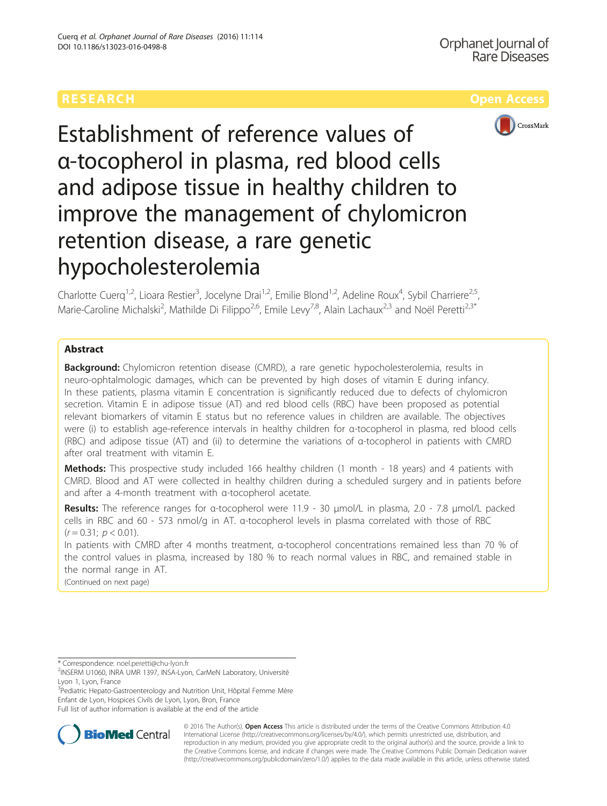

Establishment of reference values of α-tocopherol in plasma, red blood cells and adipose tissue in healthy children to improve the management of chylomicron retention disease, a rare genetic hypocholesterolemia

Charlotte Cuerq<sup>1,2</sup>, Lioara Restier<sup>3</sup>, Jocelyne Drai<sup>1,2</sup>, Emilie Blond<sup>1,2</sup>, Adeline Roux<sup>4</sup>, Sybil Charriere<sup>2,5</sup>, Marie-Caroline Michalski<sup>2</sup>, Mathilde Di Filippo<sup>2,6</sup>, Emile Levy<sup>7,8</sup>, Alain Lachaux<sup>2,3</sup> and Noël Peretti<sup>2,3\*</sup>

# Abstract

**Background:** Chylomicron retention disease (CMRD), a rare genetic hypocholesterolemia, results in neuro-ophtalmologic damages, which can be prevented by high doses of vitamin E during infancy. In these patients, plasma vitamin E concentration is significantly reduced due to defects of chylomicron secretion. Vitamin E in adipose tissue (AT) and red blood cells (RBC) have been proposed as potential relevant biomarkers of vitamin E status but no reference values in children are available. The objectives were (i) to establish age-reference intervals in healthy children for α-tocopherol in plasma, red blood cells (RBC) and adipose tissue (AT) and (ii) to determine the variations of α-tocopherol in patients with CMRD after oral treatment with vitamin E.

Methods: This prospective study included 166 healthy children (1 month - 18 years) and 4 patients with CMRD. Blood and AT were collected in healthy children during a scheduled surgery and in patients before and after a 4-month treatment with α-tocopherol acetate.

Results: The reference ranges for α-tocopherol were 11.9 - 30 μmol/L in plasma, 2.0 - 7.8 μmol/L packed cells in RBC and 60 - 573 nmol/g in AT. α-tocopherol levels in plasma correlated with those of RBC  $(r = 0.31; p < 0.01)$ .

In patients with CMRD after 4 months treatment, α-tocopherol concentrations remained less than 70 % of the control values in plasma, increased by 180 % to reach normal values in RBC, and remained stable in the normal range in AT.

(Continued on next page)

<sup>3</sup><br>Pediatric Hepato-Gastroenterology and Nutrition Unit, Hôpital Femme Mère Enfant de Lyon, Hospices Civils de Lyon, Lyon, Bron, France

Full list of author information is available at the end of the article



© 2016 The Author(s). Open Access This article is distributed under the terms of the Creative Commons Attribution 4.0 International License [\(http://creativecommons.org/licenses/by/4.0/](http://creativecommons.org/licenses/by/4.0/)), which permits unrestricted use, distribution, and reproduction in any medium, provided you give appropriate credit to the original author(s) and the source, provide a link to the Creative Commons license, and indicate if changes were made. The Creative Commons Public Domain Dedication waiver [\(http://creativecommons.org/publicdomain/zero/1.0/](http://creativecommons.org/publicdomain/zero/1.0/)) applies to the data made available in this article, unless otherwise stated.

<sup>\*</sup> Correspondence: [noel.peretti@chu-lyon.fr](mailto:noel.peretti@chu-lyon.fr) <sup>2</sup>

<sup>&</sup>lt;sup>2</sup>INSERM U1060, INRA UMR 1397, INSA-Lyon, CarMeN Laboratory, Université Lyon 1, Lyon, France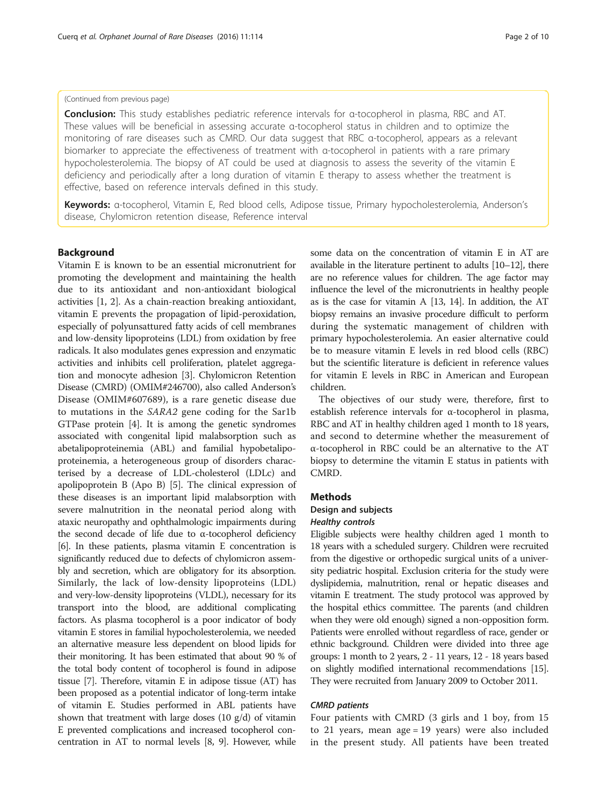## (Continued from previous page)

Conclusion: This study establishes pediatric reference intervals for α-tocopherol in plasma, RBC and AT. These values will be beneficial in assessing accurate α-tocopherol status in children and to optimize the monitoring of rare diseases such as CMRD. Our data suggest that RBC α-tocopherol, appears as a relevant biomarker to appreciate the effectiveness of treatment with α-tocopherol in patients with a rare primary hypocholesterolemia. The biopsy of AT could be used at diagnosis to assess the severity of the vitamin E deficiency and periodically after a long duration of vitamin E therapy to assess whether the treatment is effective, based on reference intervals defined in this study.

Keywords: α-tocopherol, Vitamin E, Red blood cells, Adipose tissue, Primary hypocholesterolemia, Anderson's disease, Chylomicron retention disease, Reference interval

# Background

Vitamin E is known to be an essential micronutrient for promoting the development and maintaining the health due to its antioxidant and non-antioxidant biological activities [\[1, 2](#page-8-0)]. As a chain-reaction breaking antioxidant, vitamin E prevents the propagation of lipid-peroxidation, especially of polyunsattured fatty acids of cell membranes and low-density lipoproteins (LDL) from oxidation by free radicals. It also modulates genes expression and enzymatic activities and inhibits cell proliferation, platelet aggregation and monocyte adhesion [\[3](#page-8-0)]. Chylomicron Retention Disease (CMRD) (OMIM#246700), also called Anderson's Disease (OMIM#607689), is a rare genetic disease due to mutations in the SARA2 gene coding for the Sar1b GTPase protein [\[4](#page-8-0)]. It is among the genetic syndromes associated with congenital lipid malabsorption such as abetalipoproteinemia (ABL) and familial hypobetalipoproteinemia, a heterogeneous group of disorders characterised by a decrease of LDL-cholesterol (LDLc) and apolipoprotein B (Apo B) [[5](#page-8-0)]. The clinical expression of these diseases is an important lipid malabsorption with severe malnutrition in the neonatal period along with ataxic neuropathy and ophthalmologic impairments during the second decade of life due to α-tocopherol deficiency [[6](#page-8-0)]. In these patients, plasma vitamin E concentration is significantly reduced due to defects of chylomicron assembly and secretion, which are obligatory for its absorption. Similarly, the lack of low-density lipoproteins (LDL) and very-low-density lipoproteins (VLDL), necessary for its transport into the blood, are additional complicating factors. As plasma tocopherol is a poor indicator of body vitamin E stores in familial hypocholesterolemia, we needed an alternative measure less dependent on blood lipids for their monitoring. It has been estimated that about 90 % of the total body content of tocopherol is found in adipose tissue [\[7\]](#page-8-0). Therefore, vitamin E in adipose tissue (AT) has been proposed as a potential indicator of long-term intake of vitamin E. Studies performed in ABL patients have shown that treatment with large doses (10 g/d) of vitamin E prevented complications and increased tocopherol concentration in AT to normal levels [\[8](#page-9-0), [9](#page-9-0)]. However, while

some data on the concentration of vitamin E in AT are available in the literature pertinent to adults [[10](#page-9-0)–[12](#page-9-0)], there are no reference values for children. The age factor may influence the level of the micronutrients in healthy people as is the case for vitamin A [[13](#page-9-0), [14](#page-9-0)]. In addition, the AT biopsy remains an invasive procedure difficult to perform during the systematic management of children with primary hypocholesterolemia. An easier alternative could be to measure vitamin E levels in red blood cells (RBC) but the scientific literature is deficient in reference values for vitamin E levels in RBC in American and European children.

The objectives of our study were, therefore, first to establish reference intervals for α-tocopherol in plasma, RBC and AT in healthy children aged 1 month to 18 years, and second to determine whether the measurement of α-tocopherol in RBC could be an alternative to the AT biopsy to determine the vitamin E status in patients with CMRD.

## **Methods**

# Design and subjects

# Healthy controls

Eligible subjects were healthy children aged 1 month to 18 years with a scheduled surgery. Children were recruited from the digestive or orthopedic surgical units of a university pediatric hospital. Exclusion criteria for the study were dyslipidemia, malnutrition, renal or hepatic diseases and vitamin E treatment. The study protocol was approved by the hospital ethics committee. The parents (and children when they were old enough) signed a non-opposition form. Patients were enrolled without regardless of race, gender or ethnic background. Children were divided into three age groups: 1 month to 2 years, 2 - 11 years, 12 - 18 years based on slightly modified international recommendations [\[15](#page-9-0)]. They were recruited from January 2009 to October 2011.

# CMRD patients

Four patients with CMRD (3 girls and 1 boy, from 15 to 21 years, mean age = 19 years) were also included in the present study. All patients have been treated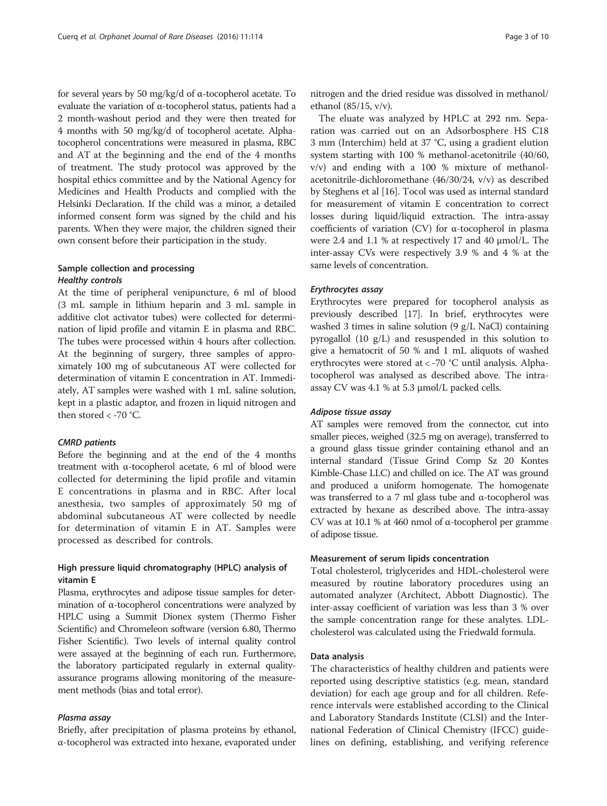for several years by 50 mg/kg/d of α-tocopherol acetate. To evaluate the variation of α-tocopherol status, patients had a 2 month-washout period and they were then treated for 4 months with 50 mg/kg/d of tocopherol acetate. Alphatocopherol concentrations were measured in plasma, RBC and AT at the beginning and the end of the 4 months of treatment. The study protocol was approved by the hospital ethics committee and by the National Agency for Medicines and Health Products and complied with the Helsinki Declaration. If the child was a minor, a detailed informed consent form was signed by the child and his parents. When they were major, the children signed their own consent before their participation in the study.

# Sample collection and processing Healthy controls

At the time of peripheral venipuncture, 6 ml of blood (3 mL sample in lithium heparin and 3 mL sample in additive clot activator tubes) were collected for determination of lipid profile and vitamin E in plasma and RBC. The tubes were processed within 4 hours after collection. At the beginning of surgery, three samples of approximately 100 mg of subcutaneous AT were collected for determination of vitamin E concentration in AT. Immediately, AT samples were washed with 1 mL saline solution, kept in a plastic adaptor, and frozen in liquid nitrogen and then stored  $<$  -70 °C.

# CMRD patients

Before the beginning and at the end of the 4 months treatment with α-tocopherol acetate, 6 ml of blood were collected for determining the lipid profile and vitamin E concentrations in plasma and in RBC. After local anesthesia, two samples of approximately 50 mg of abdominal subcutaneous AT were collected by needle for determination of vitamin E in AT. Samples were processed as described for controls.

# High pressure liquid chromatography (HPLC) analysis of vitamin E

Plasma, erythrocytes and adipose tissue samples for determination of α-tocopherol concentrations were analyzed by HPLC using a Summit Dionex system (Thermo Fisher Scientific) and Chromeleon software (version 6.80, Thermo Fisher Scientific). Two levels of internal quality control were assayed at the beginning of each run. Furthermore, the laboratory participated regularly in external qualityassurance programs allowing monitoring of the measurement methods (bias and total error).

# Plasma assay

Briefly, after precipitation of plasma proteins by ethanol, α-tocopherol was extracted into hexane, evaporated under nitrogen and the dried residue was dissolved in methanol/ ethanol (85/15, v/v).

The eluate was analyzed by HPLC at 292 nm. Separation was carried out on an Adsorbosphere HS C18 3 mm (Interchim) held at 37 °C, using a gradient elution system starting with 100 % methanol-acetonitrile (40/60, v/v) and ending with a 100 % mixture of methanolacetonitrile-dichloromethane (46/30/24, v/v) as described by Steghens et al [[16](#page-9-0)]. Tocol was used as internal standard for measurement of vitamin E concentration to correct losses during liquid/liquid extraction. The intra-assay coefficients of variation (CV) for α-tocopherol in plasma were 2.4 and 1.1 % at respectively 17 and 40 μmol/L. The inter-assay CVs were respectively 3.9 % and 4 % at the same levels of concentration.

## Erythrocytes assay

Erythrocytes were prepared for tocopherol analysis as previously described [\[17\]](#page-9-0). In brief, erythrocytes were washed 3 times in saline solution (9 g/L NaCl) containing pyrogallol (10 g/L) and resuspended in this solution to give a hematocrit of 50 % and 1 mL aliquots of washed erythrocytes were stored at < -70 °C until analysis. Alphatocopherol was analysed as described above. The intraassay CV was 4.1 % at 5.3 μmol/L packed cells.

## Adipose tissue assay

AT samples were removed from the connector, cut into smaller pieces, weighed (32.5 mg on average), transferred to a ground glass tissue grinder containing ethanol and an internal standard (Tissue Grind Comp Sz 20 Kontes Kimble-Chase LLC) and chilled on ice. The AT was ground and produced a uniform homogenate. The homogenate was transferred to a 7 ml glass tube and α-tocopherol was extracted by hexane as described above. The intra-assay CV was at 10.1 % at 460 nmol of α-tocopherol per gramme of adipose tissue.

## Measurement of serum lipids concentration

Total cholesterol, triglycerides and HDL-cholesterol were measured by routine laboratory procedures using an automated analyzer (Architect, Abbott Diagnostic). The inter-assay coefficient of variation was less than 3 % over the sample concentration range for these analytes. LDLcholesterol was calculated using the Friedwald formula.

## Data analysis

The characteristics of healthy children and patients were reported using descriptive statistics (e.g. mean, standard deviation) for each age group and for all children. Reference intervals were established according to the Clinical and Laboratory Standards Institute (CLSI) and the International Federation of Clinical Chemistry (IFCC) guidelines on defining, establishing, and verifying reference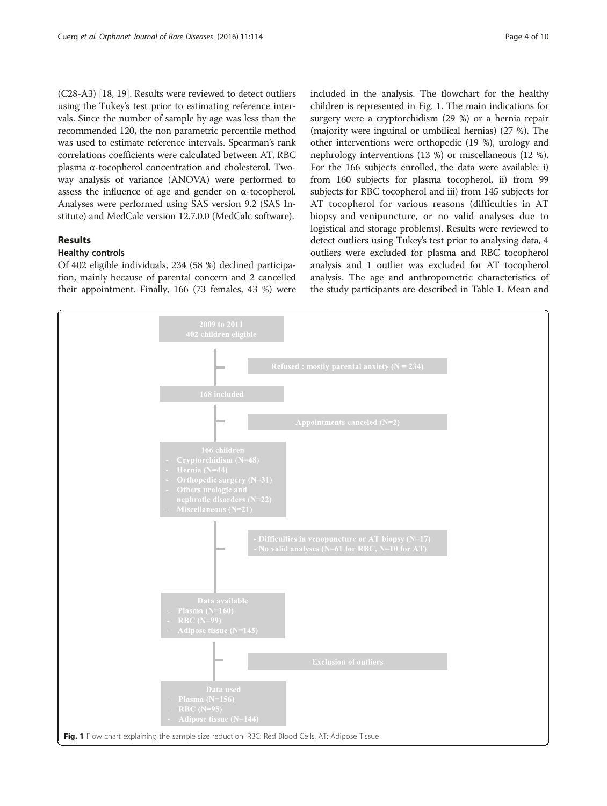(C28-A3) [\[18, 19](#page-9-0)]. Results were reviewed to detect outliers using the Tukey's test prior to estimating reference intervals. Since the number of sample by age was less than the recommended 120, the non parametric percentile method was used to estimate reference intervals. Spearman's rank correlations coefficients were calculated between AT, RBC plasma α-tocopherol concentration and cholesterol. Twoway analysis of variance (ANOVA) were performed to assess the influence of age and gender on  $\alpha$ -tocopherol. Analyses were performed using SAS version 9.2 (SAS Institute) and MedCalc version 12.7.0.0 (MedCalc software).

# Results

# Healthy controls

Of 402 eligible individuals, 234 (58 %) declined participation, mainly because of parental concern and 2 cancelled their appointment. Finally, 166 (73 females, 43 %) were included in the analysis. The flowchart for the healthy children is represented in Fig. 1. The main indications for surgery were a cryptorchidism (29 %) or a hernia repair (majority were inguinal or umbilical hernias) (27 %). The other interventions were orthopedic (19 %), urology and nephrology interventions (13 %) or miscellaneous (12 %). For the 166 subjects enrolled, the data were available: i) from 160 subjects for plasma tocopherol, ii) from 99 subjects for RBC tocopherol and iii) from 145 subjects for AT tocopherol for various reasons (difficulties in AT biopsy and venipuncture, or no valid analyses due to logistical and storage problems). Results were reviewed to detect outliers using Tukey's test prior to analysing data, 4 outliers were excluded for plasma and RBC tocopherol analysis and 1 outlier was excluded for AT tocopherol analysis. The age and anthropometric characteristics of the study participants are described in Table [1](#page-4-0). Mean and

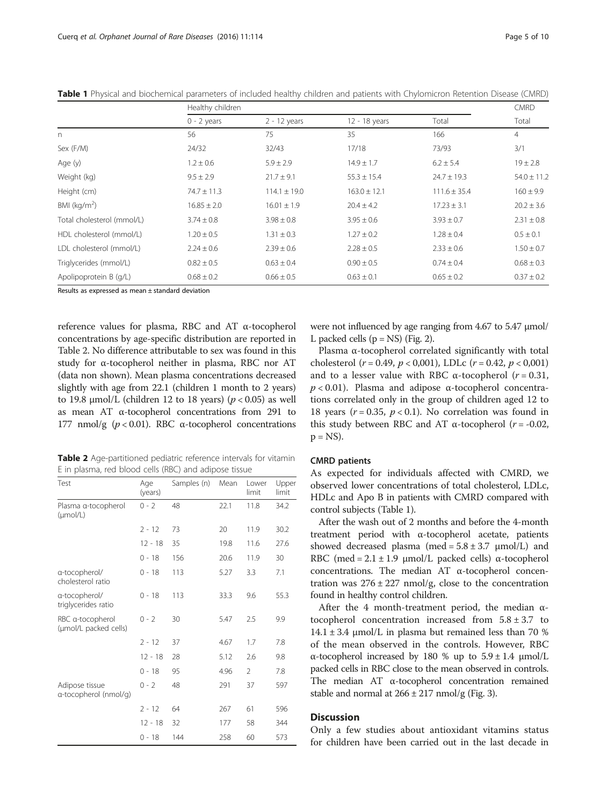|                            | Healthy children |                  |                  |                  |                 |  |
|----------------------------|------------------|------------------|------------------|------------------|-----------------|--|
|                            | $0 - 2$ years    | $2 - 12$ years   | 12 - 18 years    | Total            | Total           |  |
| n                          | 56               | 75               | 35               | 166              | $\overline{4}$  |  |
| Sex (F/M)                  | 24/32            | 32/43            | 17/18            | 73/93            | 3/1             |  |
| Age (y)                    | $1.2 \pm 0.6$    | $5.9 \pm 2.9$    | $14.9 \pm 1.7$   | $6.2 \pm 5.4$    | $19 \pm 2.8$    |  |
| Weight (kg)                | $9.5 \pm 2.9$    | $21.7 \pm 9.1$   | $55.3 \pm 15.4$  | $24.7 \pm 19.3$  | $54.0 \pm 11.2$ |  |
| Height (cm)                | $74.7 \pm 11.3$  | $114.1 \pm 19.0$ | $163.0 \pm 12.1$ | $111.6 \pm 35.4$ | $160 \pm 9.9$   |  |
| BMI ( $\text{kg/m}^2$ )    | $16.85 \pm 2.0$  | $16.01 \pm 1.9$  | $20.4 \pm 4.2$   | $17.23 \pm 3.1$  | $20.2 \pm 3.6$  |  |
| Total cholesterol (mmol/L) | $3.74 \pm 0.8$   | $3.98 \pm 0.8$   | $3.95 \pm 0.6$   | $3.93 \pm 0.7$   | $2.31 \pm 0.8$  |  |
| HDL cholesterol (mmol/L)   | $1.20 \pm 0.5$   | $1.31 \pm 0.3$   | $1.27 \pm 0.2$   | $1.28 \pm 0.4$   | $0.5 \pm 0.1$   |  |
| LDL cholesterol (mmol/L)   | $2.24 \pm 0.6$   | $2.39 \pm 0.6$   | $2.28 \pm 0.5$   | $2.33 \pm 0.6$   | $1.50 \pm 0.7$  |  |
| Triglycerides (mmol/L)     | $0.82 \pm 0.5$   | $0.63 \pm 0.4$   | $0.90 \pm 0.5$   | $0.74 \pm 0.4$   | $0.68 \pm 0.3$  |  |
| Apolipoprotein B (g/L)     | $0.68 \pm 0.2$   | $0.66 \pm 0.5$   | $0.63 \pm 0.1$   | $0.65 \pm 0.2$   | $0.37 \pm 0.2$  |  |

<span id="page-4-0"></span>Table 1 Physical and biochemical parameters of included healthy children and patients with Chylomicron Retention Disease (CMRD)

Results as expressed as mean ± standard deviation

reference values for plasma, RBC and AT α-tocopherol concentrations by age-specific distribution are reported in Table 2. No difference attributable to sex was found in this study for α-tocopherol neither in plasma, RBC nor AT (data non shown). Mean plasma concentrations decreased slightly with age from 22.1 (children 1 month to 2 years) to 19.8 μmol/L (children 12 to 18 years) ( $p < 0.05$ ) as well as mean AT α-tocopherol concentrations from 291 to 177 nmol/g ( $p < 0.01$ ). RBC α-tocopherol concentrations

Table 2 Age-partitioned pediatric reference intervals for vitamin E in plasma, red blood cells (RBC) and adipose tissue

| Test                                      | Age<br>(years) | Samples (n) | Mean | Lower<br>limit | Upper<br>limit |
|-------------------------------------------|----------------|-------------|------|----------------|----------------|
| Plasma a-tocopherol<br>$(\mu mol/L)$      | $0 - 2$        | 48          | 22.1 | 11.8           | 34.2           |
|                                           | $2 - 12$       | 73          | 20   | 11.9           | 30.2           |
|                                           | $12 - 18$      | 35          | 19.8 | 11.6           | 27.6           |
|                                           | $0 - 18$       | 156         | 20.6 | 11.9           | 30             |
| a-tocopherol/<br>cholesterol ratio        | $0 - 18$       | 113         | 5.27 | 3.3            | 7.1            |
| a-tocopherol/<br>triglycerides ratio      | $0 - 18$       | 113         | 33.3 | 9.6            | 55.3           |
| RBC a-tocopherol<br>(µmol/L packed cells) | $0 - 2$        | 30          | 5.47 | 2.5            | 9.9            |
|                                           | $2 - 12$       | 37          | 4.67 | 1.7            | 7.8            |
|                                           | $12 - 18$      | 28          | 5.12 | 2.6            | 9.8            |
|                                           | $0 - 18$       | 95          | 4.96 | $\overline{2}$ | 7.8            |
| Adipose tissue<br>a-tocopherol (nmol/g)   | $0 - 2$        | 48          | 291  | 37             | 597            |
|                                           | $2 - 12$       | 64          | 267  | 61             | 596            |
|                                           | $12 - 18$      | 32          | 177  | 58             | 344            |
|                                           | $0 - 18$       | 144         | 258  | 60             | 573            |

were not influenced by age ranging from 4.67 to 5.47 μmol/ L packed cells  $(p = NS)$  (Fig. [2\)](#page-5-0).

Plasma α-tocopherol correlated significantly with total cholesterol ( $r = 0.49$ ,  $p < 0.001$ ), LDLc ( $r = 0.42$ ,  $p < 0.001$ ) and to a lesser value with RBC  $\alpha$ -tocopherol ( $r = 0.31$ ,  $p < 0.01$ ). Plasma and adipose α-tocopherol concentrations correlated only in the group of children aged 12 to 18 years ( $r = 0.35$ ,  $p < 0.1$ ). No correlation was found in this study between RBC and AT α-tocopherol ( $r = -0.02$ ,  $p = NS$ ).

# CMRD patients

As expected for individuals affected with CMRD, we observed lower concentrations of total cholesterol, LDLc, HDLc and Apo B in patients with CMRD compared with control subjects (Table 1).

After the wash out of 2 months and before the 4-month treatment period with α-tocopherol acetate, patients showed decreased plasma (med =  $5.8 \pm 3.7 \, \mu$ mol/L) and RBC (med =  $2.1 \pm 1.9 \mu$ mol/L packed cells) α-tocopherol concentrations. The median AT α-tocopherol concentration was  $276 \pm 227$  nmol/g, close to the concentration found in healthy control children.

After the 4 month-treatment period, the median  $\alpha$ tocopherol concentration increased from  $5.8 \pm 3.7$  to  $14.1 \pm 3.4$  µmol/L in plasma but remained less than 70 % of the mean observed in the controls. However, RBC α-tocopherol increased by 180 % up to 5.9 ± 1.4 μmol/L packed cells in RBC close to the mean observed in controls. The median AT α-tocopherol concentration remained stable and normal at  $266 \pm 217$  nmol/g (Fig. [3](#page-5-0)).

# **Discussion**

Only a few studies about antioxidant vitamins status for children have been carried out in the last decade in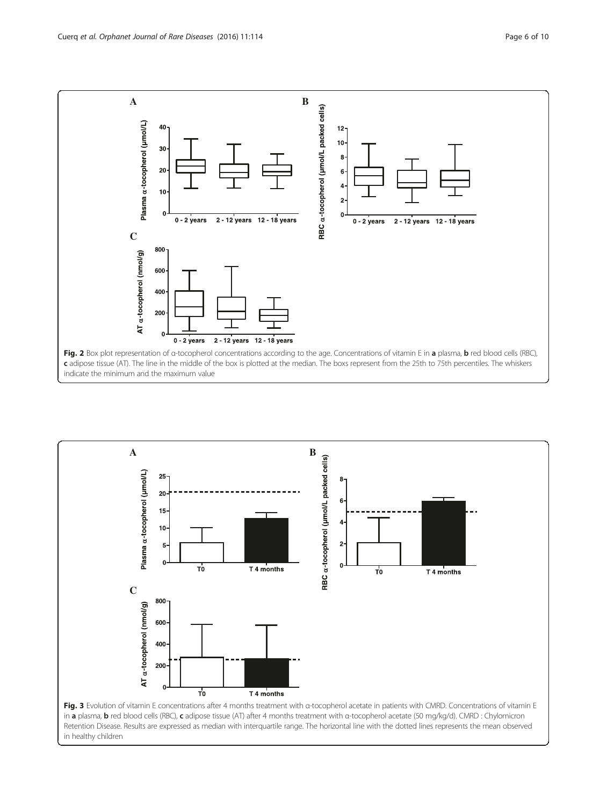<span id="page-5-0"></span>



# in healthy children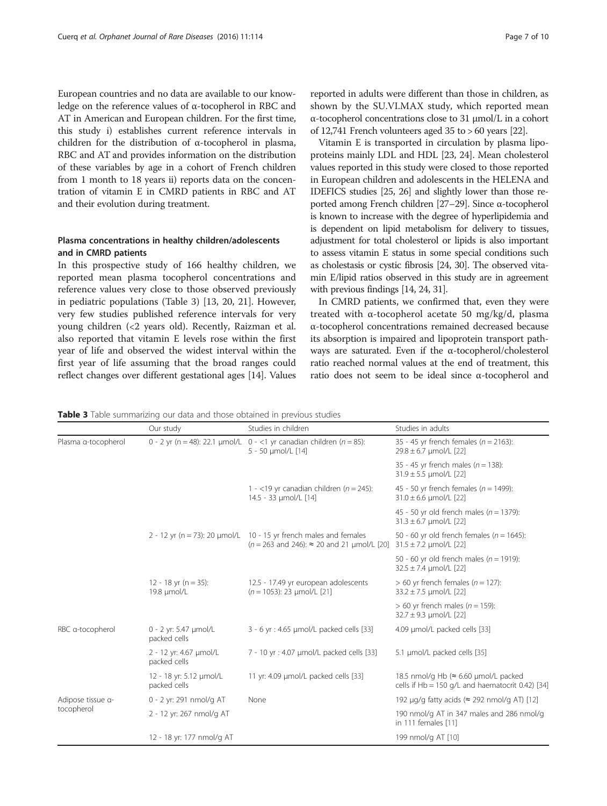<span id="page-6-0"></span>European countries and no data are available to our knowledge on the reference values of α-tocopherol in RBC and AT in American and European children. For the first time, this study i) establishes current reference intervals in children for the distribution of α-tocopherol in plasma, RBC and AT and provides information on the distribution of these variables by age in a cohort of French children from 1 month to 18 years ii) reports data on the concentration of vitamin E in CMRD patients in RBC and AT and their evolution during treatment.

# Plasma concentrations in healthy children/adolescents and in CMRD patients

In this prospective study of 166 healthy children, we reported mean plasma tocopherol concentrations and reference values very close to those observed previously in pediatric populations (Table 3) [[13](#page-9-0), [20, 21\]](#page-9-0). However, very few studies published reference intervals for very young children (<2 years old). Recently, Raizman et al. also reported that vitamin E levels rose within the first year of life and observed the widest interval within the first year of life assuming that the broad ranges could reflect changes over different gestational ages [\[14](#page-9-0)]. Values

reported in adults were different than those in children, as shown by the SU.VI.MAX study, which reported mean α-tocopherol concentrations close to 31 μmol/L in a cohort of 12,741 French volunteers aged  $35$  to  $> 60$  years [\[22\]](#page-9-0).

Vitamin E is transported in circulation by plasma lipoproteins mainly LDL and HDL [\[23, 24\]](#page-9-0). Mean cholesterol values reported in this study were closed to those reported in European children and adolescents in the HELENA and IDEFICS studies [\[25, 26\]](#page-9-0) and slightly lower than those reported among French children [\[27](#page-9-0)–[29\]](#page-9-0). Since α-tocopherol is known to increase with the degree of hyperlipidemia and is dependent on lipid metabolism for delivery to tissues, adjustment for total cholesterol or lipids is also important to assess vitamin E status in some special conditions such as cholestasis or cystic fibrosis [\[24, 30\]](#page-9-0). The observed vitamin E/lipid ratios observed in this study are in agreement with previous findings [\[14](#page-9-0), [24](#page-9-0), [31](#page-9-0)].

In CMRD patients, we confirmed that, even they were treated with α-tocopherol acetate 50 mg/kg/d, plasma α-tocopherol concentrations remained decreased because its absorption is impaired and lipoprotein transport pathways are saturated. Even if the α-tocopherol/cholesterol ratio reached normal values at the end of treatment, this ratio does not seem to be ideal since α-tocopherol and

Table 3 Table summarizing our data and those obtained in previous studies

|                                 | Our study                               | Studies in children                                                                                                            | Studies in adults                                                                                   |  |
|---------------------------------|-----------------------------------------|--------------------------------------------------------------------------------------------------------------------------------|-----------------------------------------------------------------------------------------------------|--|
| Plasma a-tocopherol             |                                         | 0 - 2 yr (n = 48): 22.1 $\mu$ mol/L 0 - <1 yr canadian children (n = 85):<br>5 - 50 µmol/L [14]                                | 35 - 45 yr french females ( $n = 2163$ ):<br>$29.8 \pm 6.7$ µmol/L [22]                             |  |
|                                 |                                         |                                                                                                                                | 35 - 45 yr french males ( $n = 138$ ):<br>$31.9 \pm 5.5$ µmol/L [22]                                |  |
|                                 |                                         | 1 - <19 yr canadian children ( $n = 245$ ):<br>14.5 - 33 µmol/L [14]                                                           | 45 - 50 yr french females ( $n = 1499$ ):<br>$31.0 \pm 6.6$ µmol/L [22]                             |  |
|                                 |                                         |                                                                                                                                | 45 - 50 yr old french males ( $n = 1379$ ):<br>$31.3 \pm 6.7$ µmol/L [22]                           |  |
|                                 |                                         | 2 - 12 yr (n = 73): 20 $\mu$ mol/L 10 - 15 yr french males and females<br>$(n = 263$ and 246): $\approx$ 20 and 21 µmol/L [20] | 50 - 60 yr old french females ( $n = 1645$ ):<br>$31.5 \pm 7.2$ µmol/L [22]                         |  |
|                                 |                                         |                                                                                                                                | 50 - 60 yr old french males ( $n = 1919$ ):<br>$32.5 \pm 7.4$ µmol/L [22]                           |  |
|                                 | 12 - 18 yr ( $n = 35$ ):<br>19.8 µmol/L | 12.5 - 17.49 yr european adolescents<br>$(n = 1053)$ : 23 µmol/L [21]                                                          | $> 60$ yr french females ( $n = 127$ ):<br>$33.2 \pm 7.5$ µmol/L [22]                               |  |
|                                 |                                         |                                                                                                                                | $> 60$ yr french males ( $n = 159$ ):<br>32.7 ± 9.3 µmol/L [22]                                     |  |
| RBC a-tocopherol                | 0 - 2 yr: 5.47 µmol/L<br>packed cells   | 3 - 6 yr : 4.65 µmol/L packed cells [33]                                                                                       | 4.09 µmol/L packed cells [33]                                                                       |  |
|                                 | 2 - 12 yr: 4.67 µmol/L<br>packed cells  | 7 - 10 yr : 4.07 µmol/L packed cells [33]                                                                                      | 5.1 µmol/L packed cells [35]                                                                        |  |
|                                 | 12 - 18 yr: 5.12 µmol/L<br>packed cells | 11 yr: 4.09 µmol/L packed cells [33]                                                                                           | 18.5 nmol/g Hb ( $\approx$ 6.60 µmol/L packed<br>cells if $Hb = 150$ g/L and haematocrit 0.42) [34] |  |
| Adipose tissue a-<br>tocopherol | 0 - 2 yr: 291 nmol/g AT                 | None                                                                                                                           | 192 $\mu$ g/g fatty acids ( $\approx$ 292 nmol/g AT) [12]                                           |  |
|                                 | 2 - 12 yr: 267 nmol/g AT                |                                                                                                                                | 190 nmol/g AT in 347 males and 286 nmol/g<br>in 111 females [11]                                    |  |
|                                 | 12 - 18 yr: 177 nmol/g AT               |                                                                                                                                | 199 nmol/g AT [10]                                                                                  |  |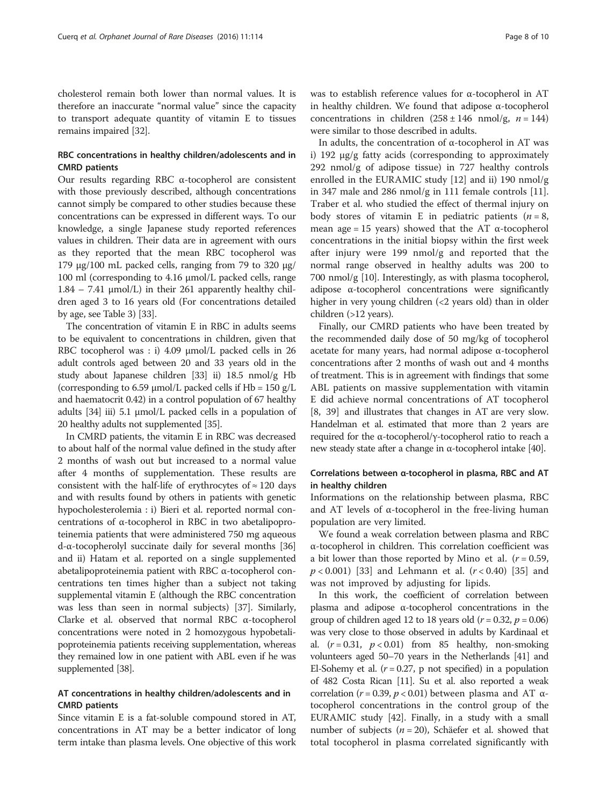cholesterol remain both lower than normal values. It is therefore an inaccurate "normal value" since the capacity to transport adequate quantity of vitamin E to tissues remains impaired [\[32\]](#page-9-0).

# RBC concentrations in healthy children/adolescents and in CMRD patients

Our results regarding RBC α-tocopherol are consistent with those previously described, although concentrations cannot simply be compared to other studies because these concentrations can be expressed in different ways. To our knowledge, a single Japanese study reported references values in children. Their data are in agreement with ours as they reported that the mean RBC tocopherol was 179 μg/100 mL packed cells, ranging from 79 to 320 μg/ 100 ml (corresponding to 4.16 μmol/L packed cells, range  $1.84 - 7.41$   $\mu$ mol/L) in their 261 apparently healthy children aged 3 to 16 years old (For concentrations detailed by age, see Table [3](#page-6-0)) [\[33\]](#page-9-0).

The concentration of vitamin E in RBC in adults seems to be equivalent to concentrations in children, given that RBC tocopherol was : i) 4.09 μmol/L packed cells in 26 adult controls aged between 20 and 33 years old in the study about Japanese children [\[33\]](#page-9-0) ii) 18.5 nmol/g Hb (corresponding to 6.59  $\mu$ mol/L packed cells if Hb = 150 g/L and haematocrit 0.42) in a control population of 67 healthy adults [\[34\]](#page-9-0) iii) 5.1 μmol/L packed cells in a population of 20 healthy adults not supplemented [\[35\]](#page-9-0).

In CMRD patients, the vitamin E in RBC was decreased to about half of the normal value defined in the study after 2 months of wash out but increased to a normal value after 4 months of supplementation. These results are consistent with the half-life of erythrocytes of  $\approx 120$  days and with results found by others in patients with genetic hypocholesterolemia : i) Bieri et al. reported normal concentrations of α-tocopherol in RBC in two abetalipoproteinemia patients that were administered 750 mg aqueous d-α-tocopherolyl succinate daily for several months [[36](#page-9-0)] and ii) Hatam et al. reported on a single supplemented abetalipoproteinemia patient with RBC α-tocopherol concentrations ten times higher than a subject not taking supplemental vitamin E (although the RBC concentration was less than seen in normal subjects) [\[37\]](#page-9-0). Similarly, Clarke et al. observed that normal RBC α-tocopherol concentrations were noted in 2 homozygous hypobetalipoproteinemia patients receiving supplementation, whereas they remained low in one patient with ABL even if he was supplemented [\[38\]](#page-9-0).

# AT concentrations in healthy children/adolescents and in CMRD patients

Since vitamin E is a fat-soluble compound stored in AT, concentrations in AT may be a better indicator of long term intake than plasma levels. One objective of this work

was to establish reference values for α-tocopherol in AT in healthy children. We found that adipose α-tocopherol concentrations in children  $(258 \pm 146 \text{ nmol/g}, n = 144)$ were similar to those described in adults.

In adults, the concentration of α-tocopherol in AT was i) 192 μg/g fatty acids (corresponding to approximately 292 nmol/g of adipose tissue) in 727 healthy controls enrolled in the EURAMIC study [\[12](#page-9-0)] and ii) 190 nmol/g in 347 male and 286 nmol/g in 111 female controls [\[11](#page-9-0)]. Traber et al. who studied the effect of thermal injury on body stores of vitamin E in pediatric patients  $(n = 8,$ mean age = 15 years) showed that the AT  $\alpha$ -tocopherol concentrations in the initial biopsy within the first week after injury were 199 nmol/g and reported that the normal range observed in healthy adults was 200 to 700 nmol/g [\[10](#page-9-0)]. Interestingly, as with plasma tocopherol, adipose α-tocopherol concentrations were significantly higher in very young children (<2 years old) than in older children (>12 years).

Finally, our CMRD patients who have been treated by the recommended daily dose of 50 mg/kg of tocopherol acetate for many years, had normal adipose α-tocopherol concentrations after 2 months of wash out and 4 months of treatment. This is in agreement with findings that some ABL patients on massive supplementation with vitamin E did achieve normal concentrations of AT tocopherol [[8, 39\]](#page-9-0) and illustrates that changes in AT are very slow. Handelman et al. estimated that more than 2 years are required for the α-tocopherol/γ-tocopherol ratio to reach a new steady state after a change in α-tocopherol intake [\[40\]](#page-9-0).

# Correlations between α-tocopherol in plasma, RBC and AT in healthy children

Informations on the relationship between plasma, RBC and AT levels of α-tocopherol in the free-living human population are very limited.

We found a weak correlation between plasma and RBC α-tocopherol in children. This correlation coefficient was a bit lower than those reported by Mino et al.  $(r = 0.59,$  $p < 0.001$  [[33\]](#page-9-0) and Lehmann et al.  $(r < 0.40)$  [\[35](#page-9-0)] and was not improved by adjusting for lipids.

In this work, the coefficient of correlation between plasma and adipose α-tocopherol concentrations in the group of children aged 12 to 18 years old ( $r = 0.32$ ,  $p = 0.06$ ) was very close to those observed in adults by Kardinaal et al.  $(r = 0.31, p < 0.01)$  from 85 healthy, non-smoking volunteers aged 50–70 years in the Netherlands [\[41\]](#page-9-0) and El-Sohemy et al.  $(r = 0.27, p \text{ not specified})$  in a population of 482 Costa Rican [[11\]](#page-9-0). Su et al. also reported a weak correlation ( $r = 0.39$ ,  $p < 0.01$ ) between plasma and AT αtocopherol concentrations in the control group of the EURAMIC study [[42](#page-9-0)]. Finally, in a study with a small number of subjects ( $n = 20$ ), Schäefer et al. showed that total tocopherol in plasma correlated significantly with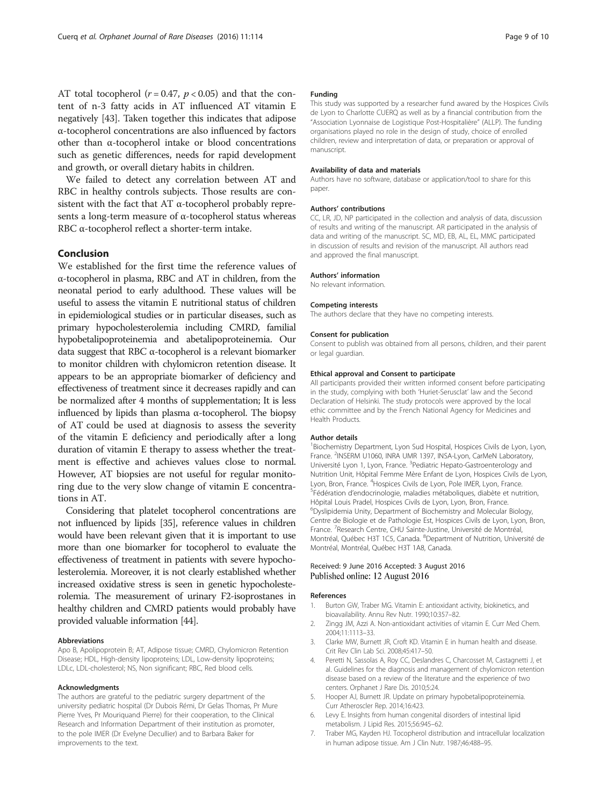<span id="page-8-0"></span>AT total tocopherol ( $r = 0.47$ ,  $p < 0.05$ ) and that the content of n-3 fatty acids in AT influenced AT vitamin E negatively [[43](#page-9-0)]. Taken together this indicates that adipose α-tocopherol concentrations are also influenced by factors other than α-tocopherol intake or blood concentrations such as genetic differences, needs for rapid development and growth, or overall dietary habits in children.

We failed to detect any correlation between AT and RBC in healthy controls subjects. Those results are consistent with the fact that AT α-tocopherol probably represents a long-term measure of α-tocopherol status whereas RBC α-tocopherol reflect a shorter-term intake.

## Conclusion

We established for the first time the reference values of α-tocopherol in plasma, RBC and AT in children, from the neonatal period to early adulthood. These values will be useful to assess the vitamin E nutritional status of children in epidemiological studies or in particular diseases, such as primary hypocholesterolemia including CMRD, familial hypobetalipoproteinemia and abetalipoproteinemia. Our data suggest that RBC α-tocopherol is a relevant biomarker to monitor children with chylomicron retention disease. It appears to be an appropriate biomarker of deficiency and effectiveness of treatment since it decreases rapidly and can be normalized after 4 months of supplementation; It is less influenced by lipids than plasma α-tocopherol. The biopsy of AT could be used at diagnosis to assess the severity of the vitamin E deficiency and periodically after a long duration of vitamin E therapy to assess whether the treatment is effective and achieves values close to normal. However, AT biopsies are not useful for regular monitoring due to the very slow change of vitamin E concentrations in AT.

Considering that platelet tocopherol concentrations are not influenced by lipids [\[35](#page-9-0)], reference values in children would have been relevant given that it is important to use more than one biomarker for tocopherol to evaluate the effectiveness of treatment in patients with severe hypocholesterolemia. Moreover, it is not clearly established whether increased oxidative stress is seen in genetic hypocholesterolemia. The measurement of urinary F2-isoprostanes in healthy children and CMRD patients would probably have provided valuable information [\[44\]](#page-9-0).

#### Abbreviations

Apo B, Apolipoprotein B; AT, Adipose tissue; CMRD, Chylomicron Retention Disease; HDL, High-density lipoproteins; LDL, Low-density lipoproteins; LDLc, LDL-cholesterol; NS, Non significant; RBC, Red blood cells.

### Acknowledgments

The authors are grateful to the pediatric surgery department of the university pediatric hospital (Dr Dubois Rémi, Dr Gelas Thomas, Pr Mure Pierre Yves, Pr Mouriquand Pierre) for their cooperation, to the Clinical Research and Information Department of their institution as promoter, to the pole IMER (Dr Evelyne Decullier) and to Barbara Baker for improvements to the text.

#### Funding

This study was supported by a researcher fund awared by the Hospices Civils de Lyon to Charlotte CUERQ as well as by a financial contribution from the "Association Lyonnaise de Logistique Post-Hospitalière" (ALLP). The funding organisations played no role in the design of study, choice of enrolled children, review and interpretation of data, or preparation or approval of manuscript.

#### Availability of data and materials

Authors have no software, database or application/tool to share for this paper.

#### Authors' contributions

CC, LR, JD, NP participated in the collection and analysis of data, discussion of results and writing of the manuscript. AR participated in the analysis of data and writing of the manuscript. SC, MD, EB, AL, EL, MMC participated in discussion of results and revision of the manuscript. All authors read and approved the final manuscript.

#### Authors' information

No relevant information.

#### Competing interests

The authors declare that they have no competing interests.

#### Consent for publication

Consent to publish was obtained from all persons, children, and their parent or legal guardian.

#### Ethical approval and Consent to participate

All participants provided their written informed consent before participating in the study, complying with both 'Huriet-Serusclat' law and the Second Declaration of Helsinki. The study protocols were approved by the local ethic committee and by the French National Agency for Medicines and Health Products.

## Author details

<sup>1</sup> Biochemistry Department, Lyon Sud Hospital, Hospices Civils de Lyon, Lyon, France. <sup>2</sup>INSERM U1060, INRA UMR 1397, INSA-Lyon, CarMeN Laboratory Université Lyon 1, Lyon, France. <sup>3</sup>Pediatric Hepato-Gastroenterology and Nutrition Unit, Hôpital Femme Mère Enfant de Lyon, Hospices Civils de Lyon, Lyon, Bron, France. <sup>4</sup>Hospices Civils de Lyon, Pole IMER, Lyon, France<br><sup>5</sup>Eódération d'ondocripologie, maladier métaboliques, diabète et put <sup>5</sup>Fédération d'endocrinologie, maladies métaboliques, diabète et nutrition, Hôpital Louis Pradel, Hospices Civils de Lyon, Lyon, Bron, France. 6 Dyslipidemia Unity, Department of Biochemistry and Molecular Biology, Centre de Biologie et de Pathologie Est, Hospices Civils de Lyon, Lyon, Bron, France. <sup>7</sup> Research Centre, CHU Sainte-Justine, Université de Montréal Montréal, Québec H3T 1C5, Canada. <sup>8</sup>Department of Nutrition, Université de Montréal, Montréal, Québec H3T 1A8, Canada.

## Received: 9 June 2016 Accepted: 3 August 2016 Published online: 12 August 2016

#### References

- 1. Burton GW, Traber MG. Vitamin E: antioxidant activity, biokinetics, and bioavailability. Annu Rev Nutr. 1990;10:357–82.
- 2. Zingg JM, Azzi A. Non-antioxidant activities of vitamin E. Curr Med Chem. 2004;11:1113–33.
- 3. Clarke MW, Burnett JR, Croft KD. Vitamin E in human health and disease. Crit Rev Clin Lab Sci. 2008;45:417–50.
- 4. Peretti N, Sassolas A, Roy CC, Deslandres C, Charcosset M, Castagnetti J, et al. Guidelines for the diagnosis and management of chylomicron retention disease based on a review of the literature and the experience of two centers. Orphanet J Rare Dis. 2010;5:24.
- 5. Hooper AJ, Burnett JR. Update on primary hypobetalipoproteinemia. Curr Atheroscler Rep. 2014;16:423.
- 6. Levy E. Insights from human congenital disorders of intestinal lipid metabolism. J Lipid Res. 2015;56:945–62.
- 7. Traber MG, Kayden HJ. Tocopherol distribution and intracellular localization in human adipose tissue. Am J Clin Nutr. 1987;46:488–95.